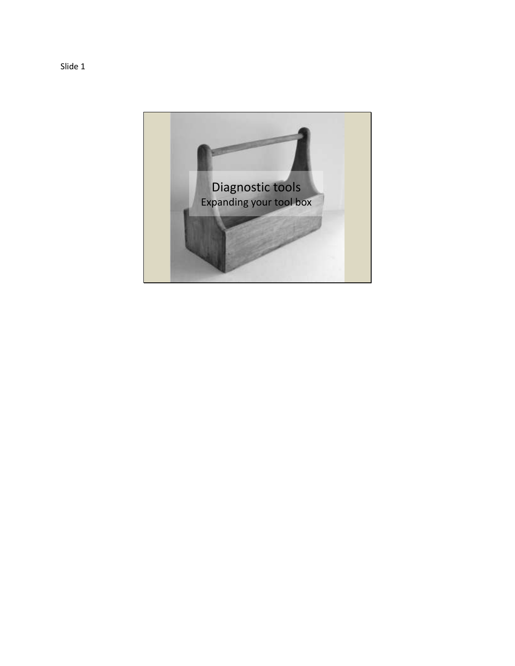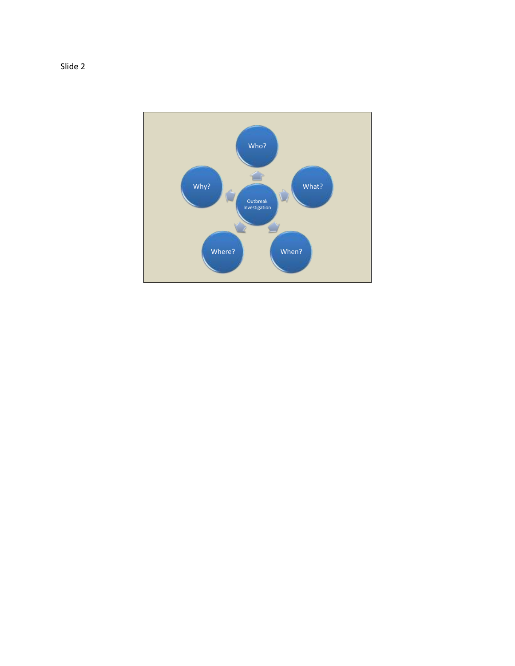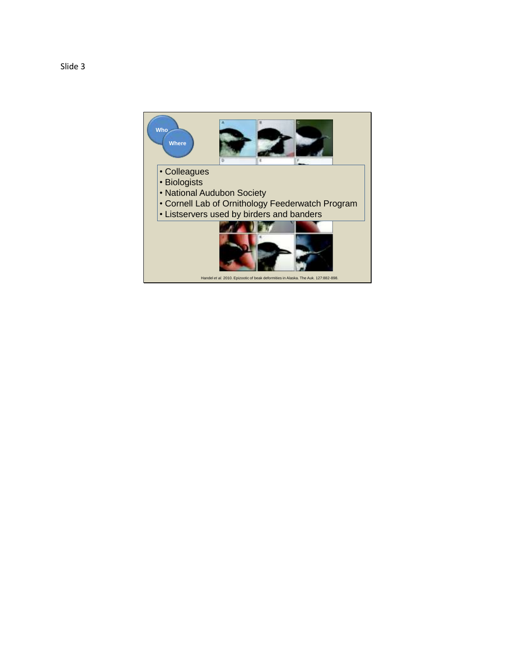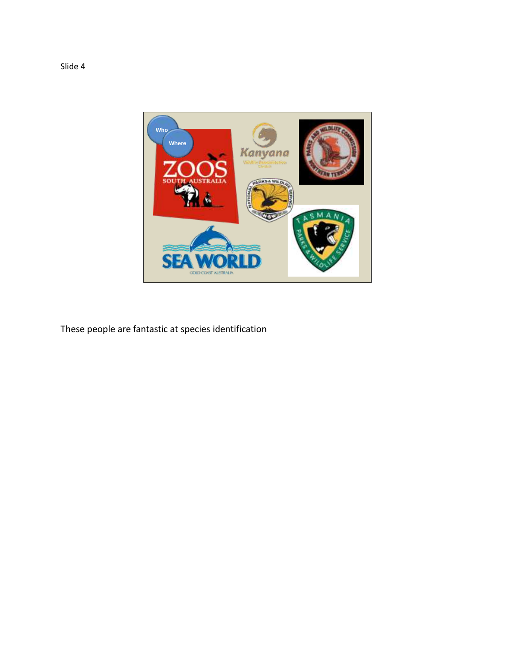

These people are fantastic at species identification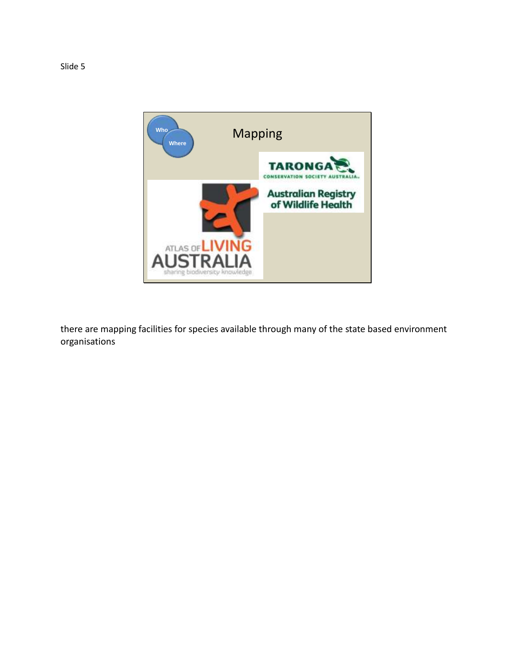

there are mapping facilities for species available through many of the state based environment organisations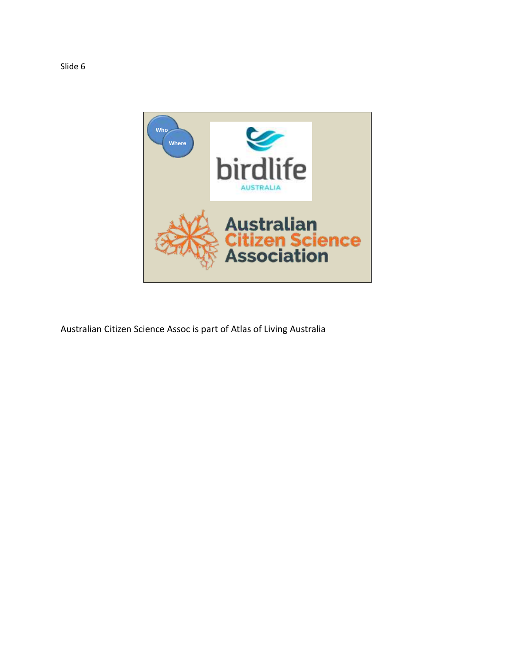

Australian Citizen Science Assoc is part of Atlas of Living Australia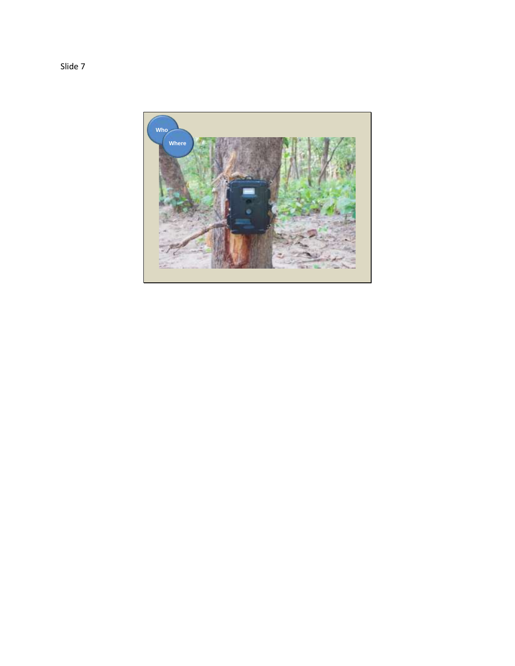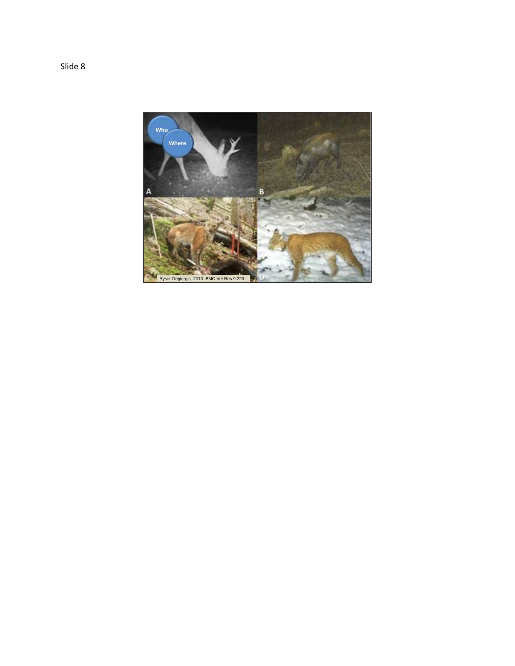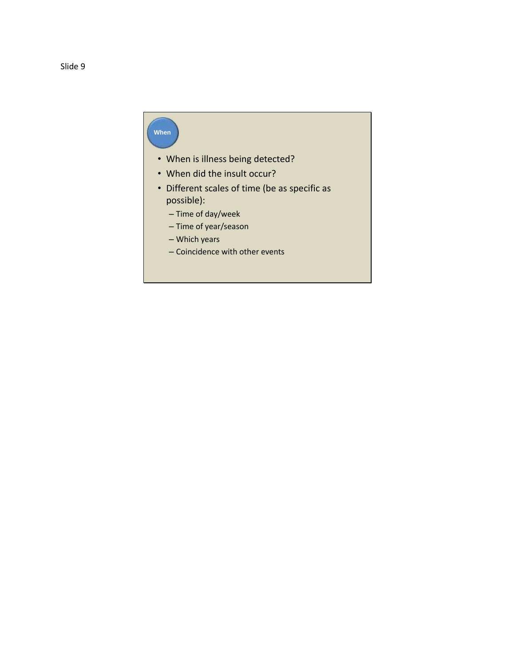## **When**

- When is illness being detected?
- When did the insult occur?
- Different scales of time (be as specific as possible):
	- Time of day/week
	- Time of year/season
	- Which years
	- Coincidence with other events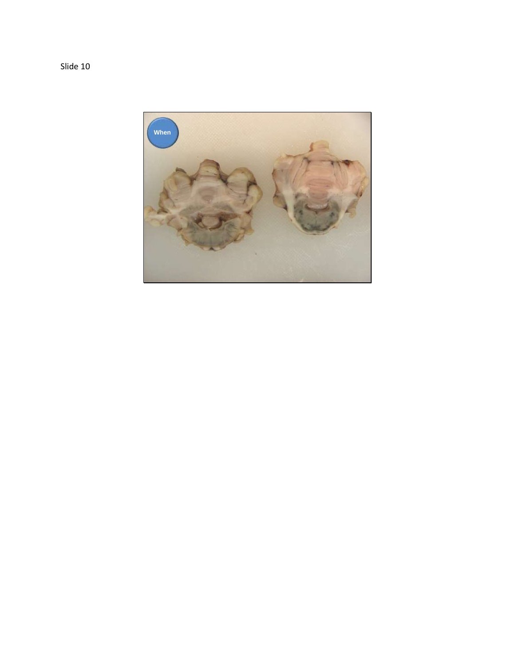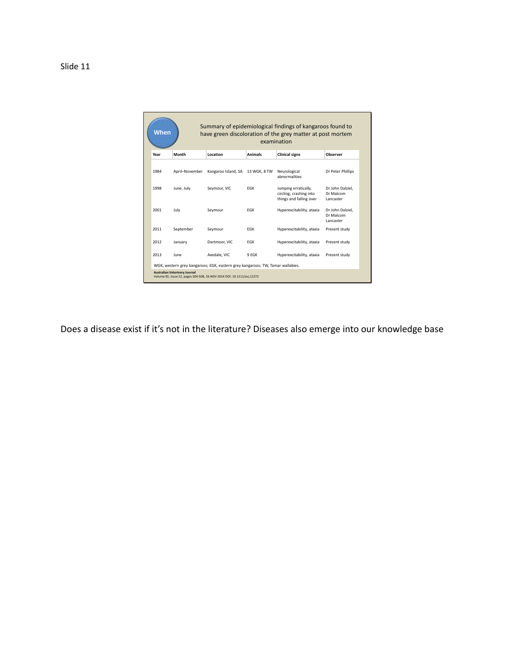|      | When<br>have green discoloration of the grey matter at post mortem<br>examination |                     |                |                                                                            |                                            |
|------|-----------------------------------------------------------------------------------|---------------------|----------------|----------------------------------------------------------------------------|--------------------------------------------|
| Year | Month                                                                             | Location            | <b>Animals</b> | <b>Clinical signs</b>                                                      | Observer                                   |
| 1984 | April-November                                                                    | Kangaroo Island, SA | 13 WGK, 8 TW   | Neurological<br>abnormalities                                              | Dr Peter Phillips                          |
| 1998 | June, July                                                                        | Seymour, VIC        | FGK            | Jumping erratically,<br>circling, crashing into<br>things and falling over | Dr John Dalziel,<br>Dr Malcom<br>Lancaster |
| 2001 | July                                                                              | Seymour             | <b>EGK</b>     | Hyperexcitability, ataxia                                                  | Dr John Dalziel.<br>Dr Malcom<br>Lancaster |
| 2011 | September                                                                         | Seymour             | FGK            | Hyperexcitability, ataxia                                                  | Present study                              |
| 2012 | January                                                                           | Dartmoor, VIC       | FGK            | Hyperexcitability, ataxia                                                  | Present study                              |
| 2013 | June                                                                              | Axedale, VIC        | 9 EGK          | Hyperexcitability, ataxia                                                  | Present study                              |

Does a disease exist if it's not in the literature? Diseases also emerge into our knowledge base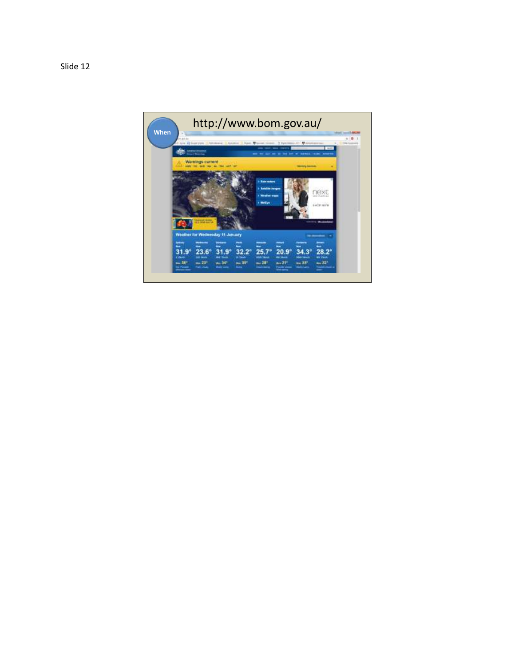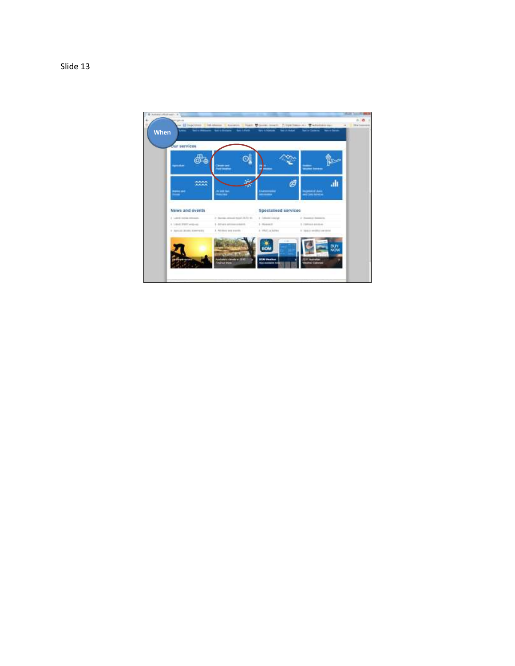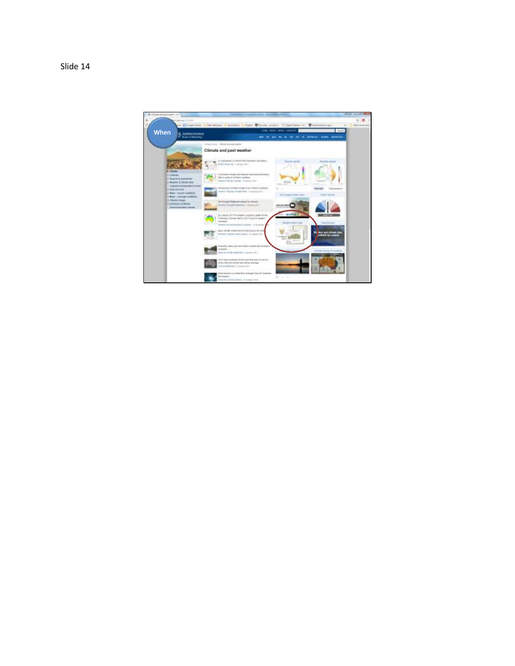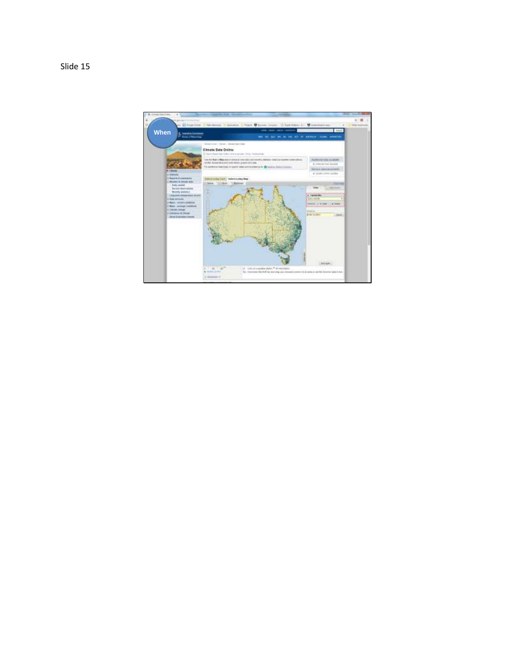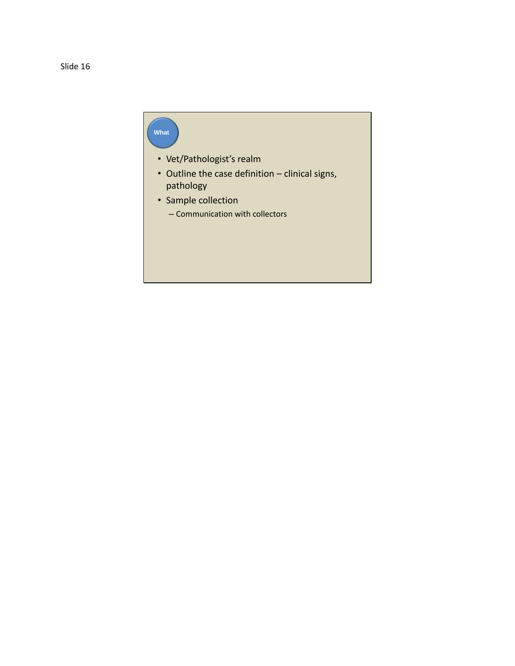## **What**

- Vet/Pathologist's realm
- Outline the case definition clinical signs, pathology
- Sample collection
	- Communication with collectors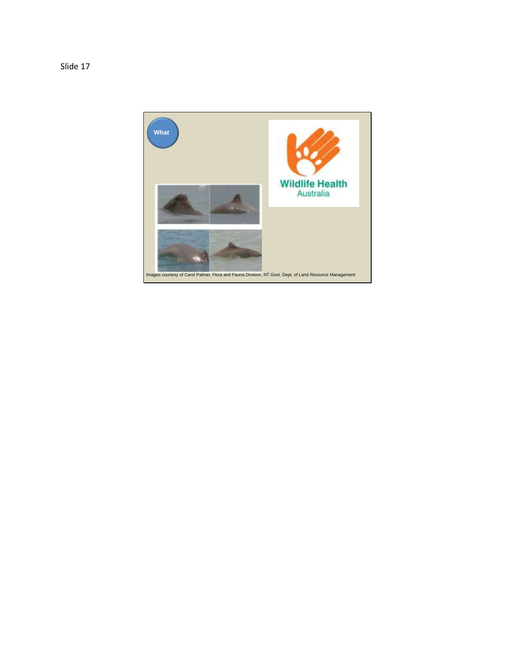

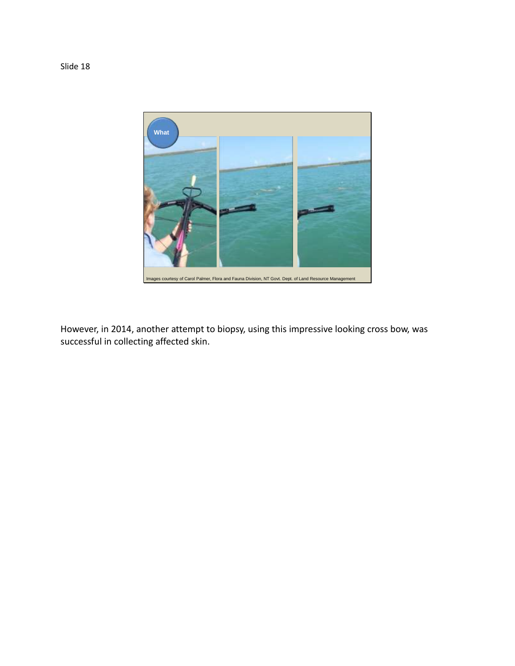

However, in 2014, another attempt to biopsy, using this impressive looking cross bow, was successful in collecting affected skin.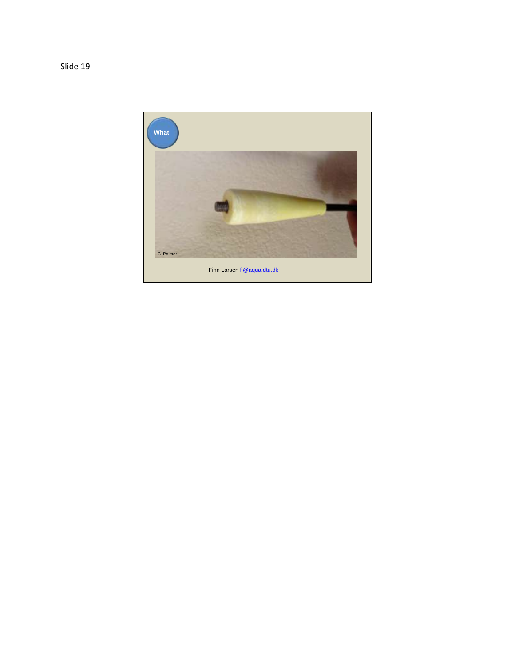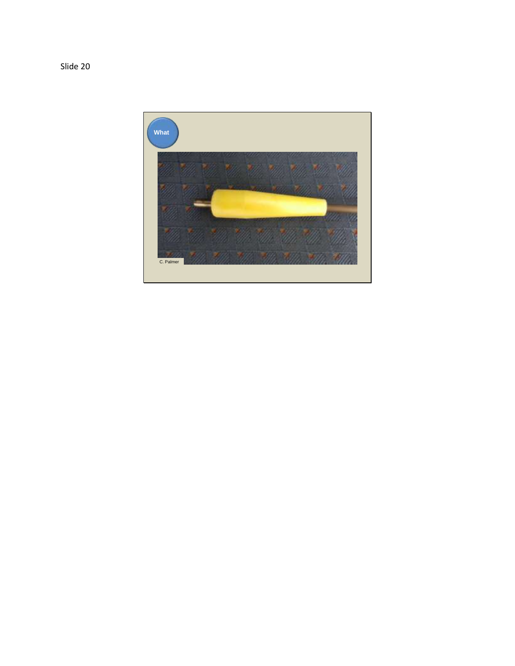

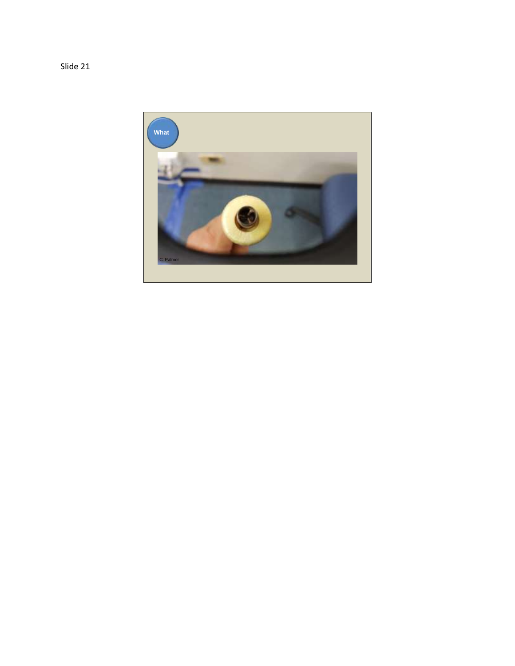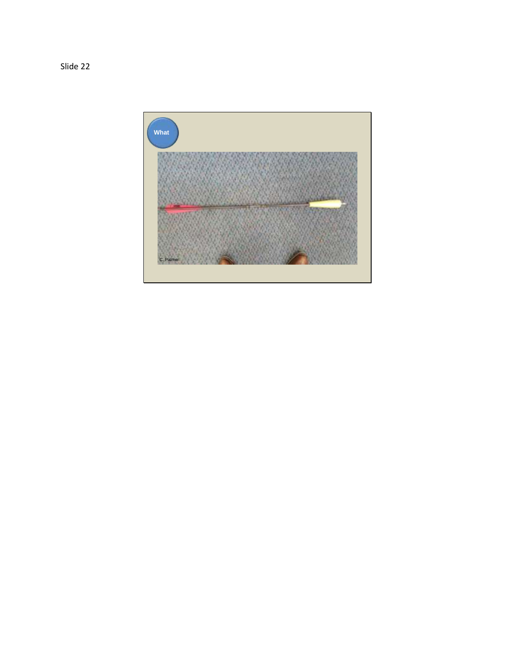

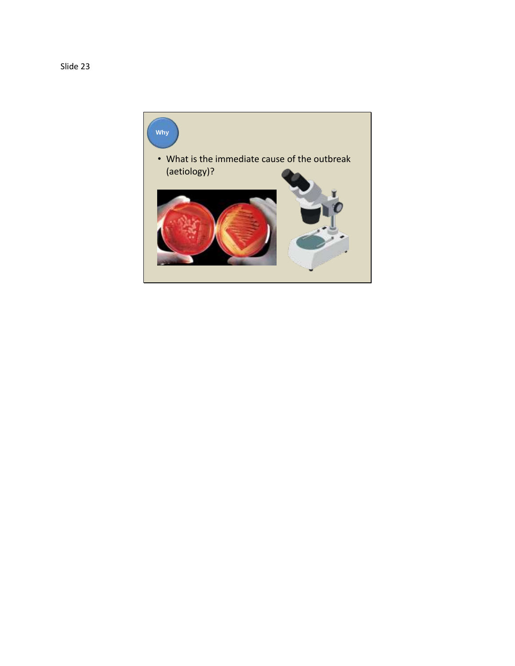

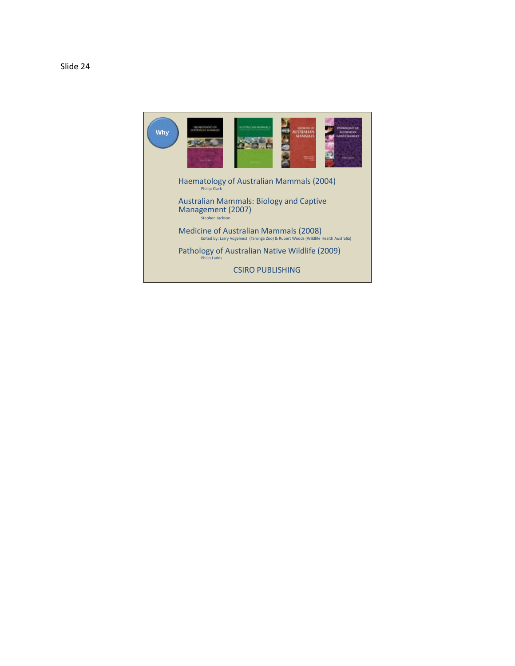

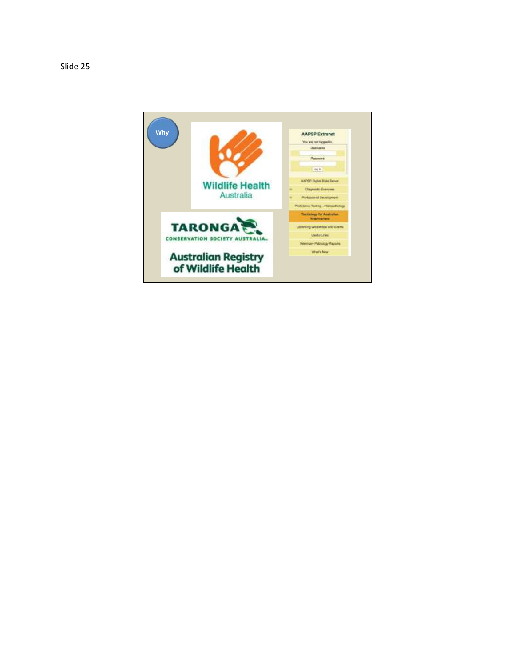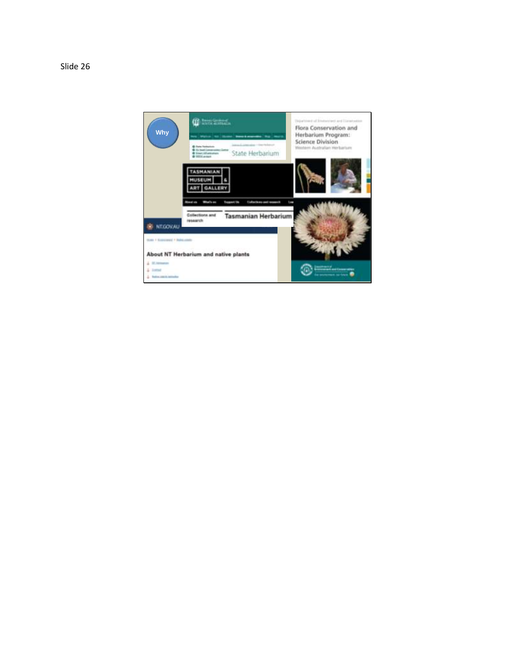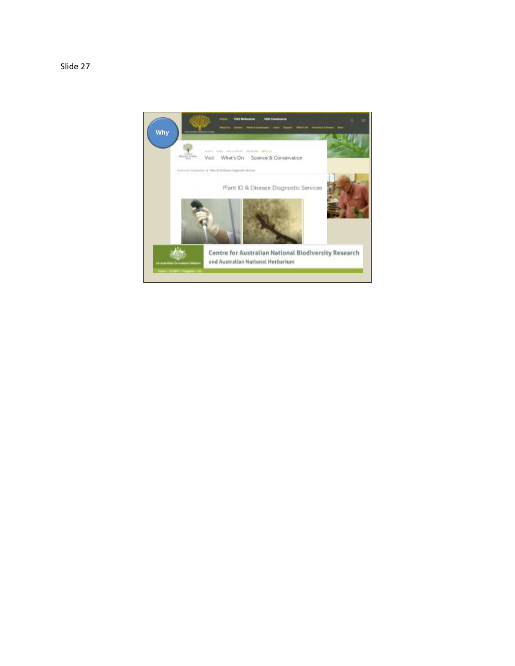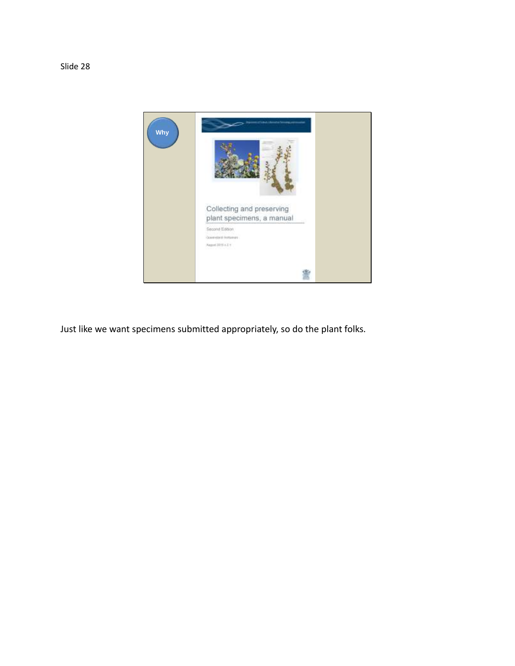

Just like we want specimens submitted appropriately, so do the plant folks.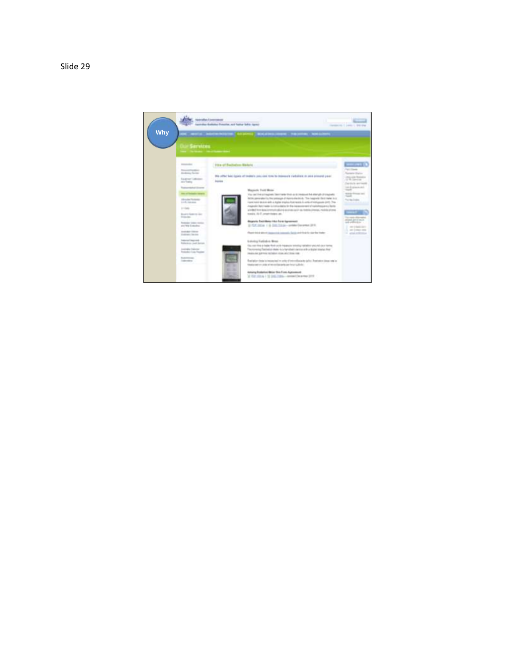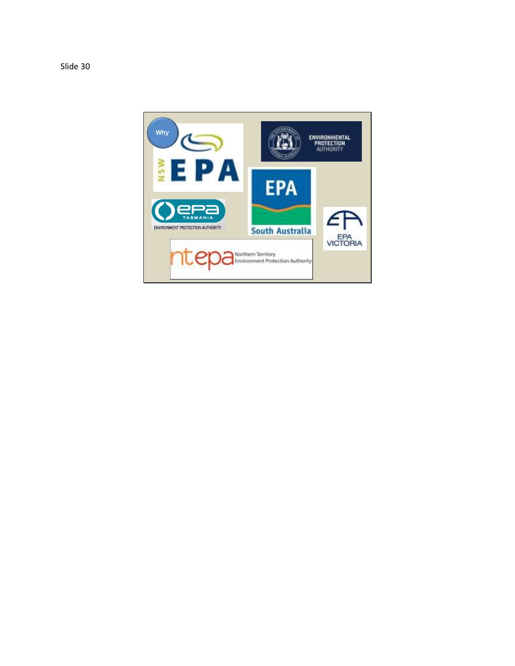

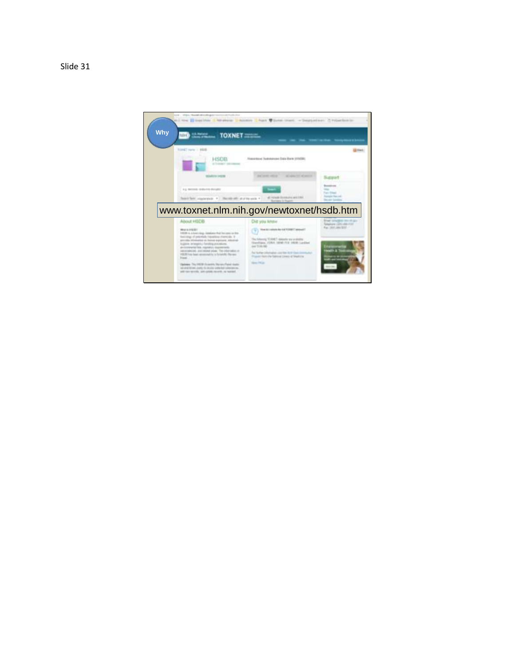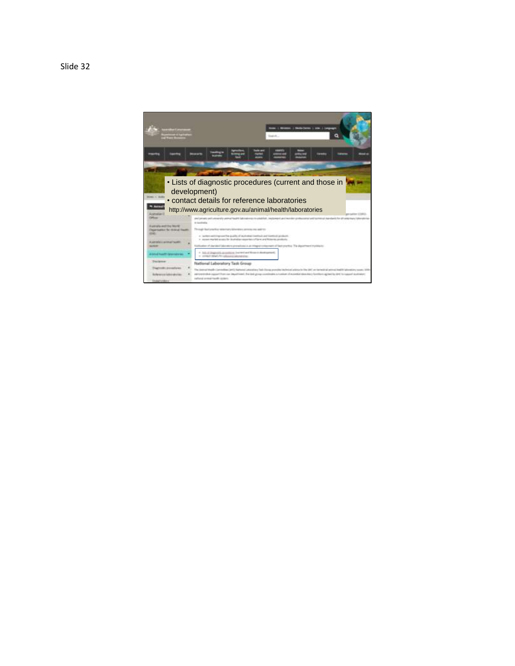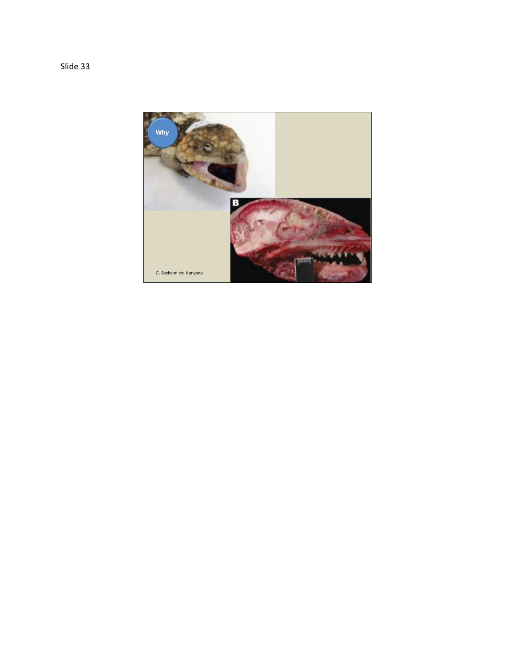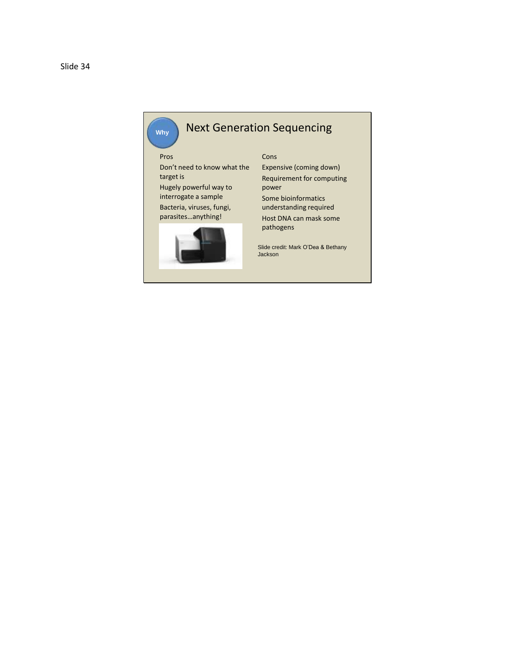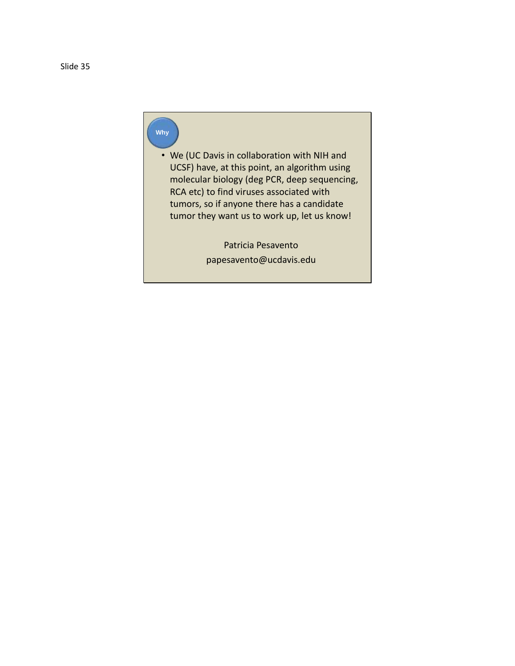## **Why**

• We (UC Davis in collaboration with NIH and UCSF) have, at this point, an algorithm using molecular biology (deg PCR, deep sequencing, RCA etc) to find viruses associated with tumors, so if anyone there has a candidate tumor they want us to work up, let us know!

> Patricia Pesavento papesavento@ucdavis.edu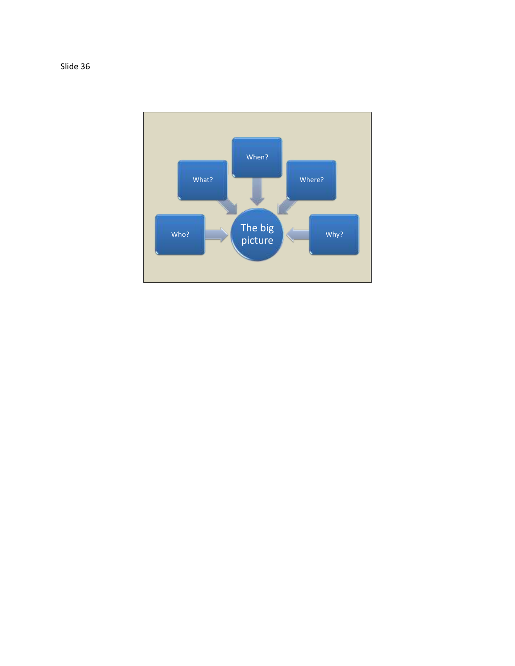

Slide 36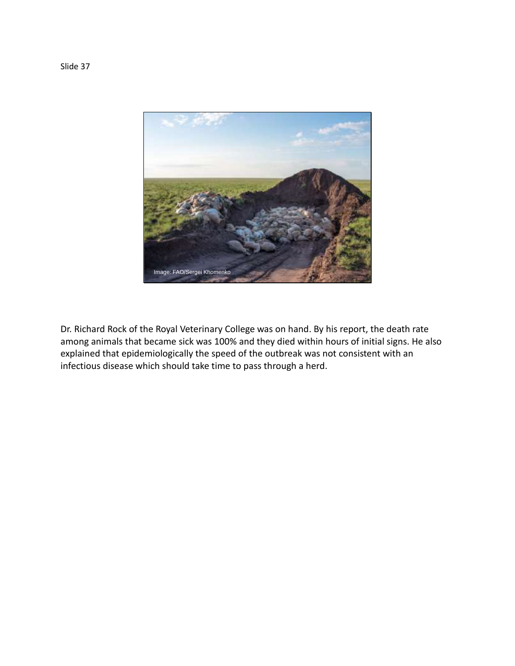

Dr. Richard Rock of the Royal Veterinary College was on hand. By his report, the death rate among animals that became sick was 100% and they died within hours of initial signs. He also explained that epidemiologically the speed of the outbreak was not consistent with an infectious disease which should take time to pass through a herd.